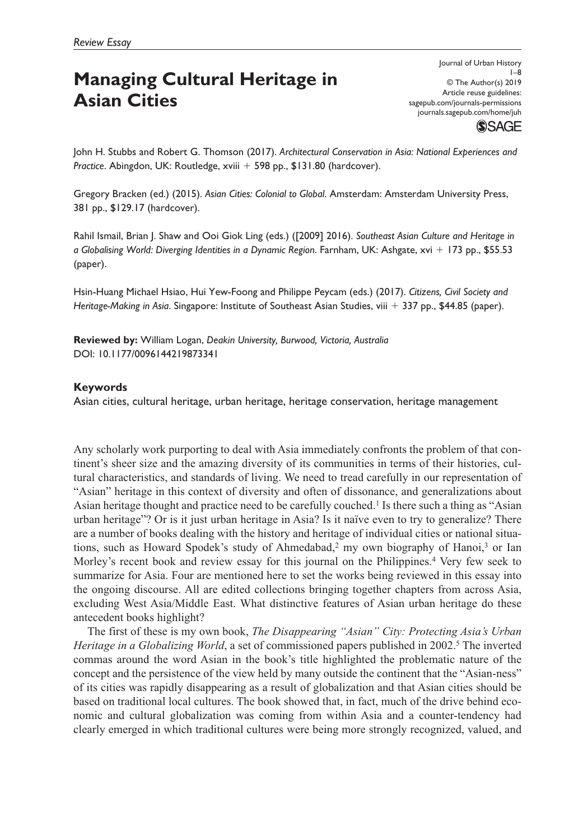# **Managing Cultural Heritage in Asian Cities**

Journal of Urban History 1–8 © The Author(s) 2019 Article reuse guidelines: [sagepub.com/journals-permissions](https://us.sagepub.com/en-us/journals-permissions) [journals.sagepub.com/home/juh](https://journals.sagepub.com/home/juh) **SSAGE** 

John H. Stubbs and Robert G. Thomson (2017). *Architectural Conservation in Asia: National Experiences and*  Practice. Abingdon, UK: Routledge, xviii + 598 pp., \$131.80 (hardcover).

Gregory Bracken (ed.) (2015). *Asian Cities: Colonial to Global*. Amsterdam: Amsterdam University Press, 381 pp., \$129.17 (hardcover).

Rahil Ismail, Brian J. Shaw and Ooi Giok Ling (eds.) ([2009] 2016). *Southeast Asian Culture and Heritage in a Globalising World: Diverging Identities in a Dynamic Region*. Farnham, UK: Ashgate, xvi + 173 pp., \$55.53 (paper).

Hsin-Huang Michael Hsiao, Hui Yew-Foong and Philippe Peycam (eds.) (2017). *Citizens, Civil Society and Heritage-Making in Asia*. Singapore: Institute of Southeast Asian Studies, viii + 337 pp., \$44.85 (paper).

**Reviewed by:** William Logan, *Deakin University, Burwood, Victoria, Australia* [DOI: 10.1177/0096144219873341](http://doi.org/10.1177/0096144219873341)

#### **Keywords**

Asian cities, cultural heritage, urban heritage, heritage conservation, heritage management

Any scholarly work purporting to deal with Asia immediately confronts the problem of that continent's sheer size and the amazing diversity of its communities in terms of their histories, cultural characteristics, and standards of living. We need to tread carefully in our representation of "Asian" heritage in this context of diversity and often of dissonance, and generalizations about Asian heritage thought and practice need to be carefully couched.<sup>1</sup> Is there such a thing as "Asian urban heritage"? Or is it just urban heritage in Asia? Is it naïve even to try to generalize? There are a number of books dealing with the history and heritage of individual cities or national situations, such as Howard Spodek's study of Ahmedabad,<sup>2</sup> my own biography of Hanoi,<sup>3</sup> or Ian Morley's recent book and review essay for this journal on the Philippines.<sup>4</sup> Very few seek to summarize for Asia. Four are mentioned here to set the works being reviewed in this essay into the ongoing discourse. All are edited collections bringing together chapters from across Asia, excluding West Asia/Middle East. What distinctive features of Asian urban heritage do these antecedent books highlight?

The first of these is my own book, *The Disappearing "Asian" City: Protecting Asia's Urban Heritage in a Globalizing World*, a set of commissioned papers published in 2002.<sup>5</sup> The inverted commas around the word Asian in the book's title highlighted the problematic nature of the concept and the persistence of the view held by many outside the continent that the "Asian-ness" of its cities was rapidly disappearing as a result of globalization and that Asian cities should be based on traditional local cultures. The book showed that, in fact, much of the drive behind economic and cultural globalization was coming from within Asia and a counter-tendency had clearly emerged in which traditional cultures were being more strongly recognized, valued, and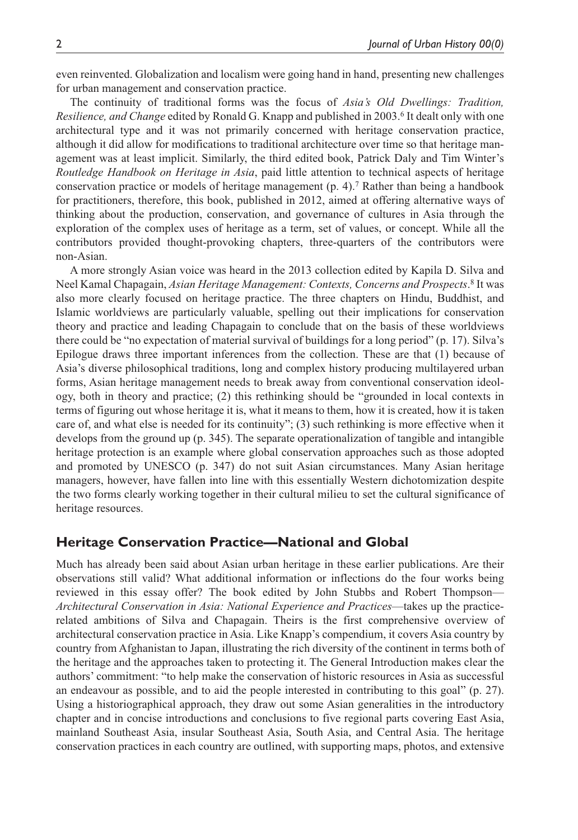even reinvented. Globalization and localism were going hand in hand, presenting new challenges for urban management and conservation practice.

The continuity of traditional forms was the focus of *Asia's Old Dwellings: Tradition, Resilience, and Change* edited by Ronald G. Knapp and published in 2003.6 It dealt only with one architectural type and it was not primarily concerned with heritage conservation practice, although it did allow for modifications to traditional architecture over time so that heritage management was at least implicit. Similarly, the third edited book, Patrick Daly and Tim Winter's *Routledge Handbook on Heritage in Asia*, paid little attention to technical aspects of heritage conservation practice or models of heritage management (p. 4).7 Rather than being a handbook for practitioners, therefore, this book, published in 2012, aimed at offering alternative ways of thinking about the production, conservation, and governance of cultures in Asia through the exploration of the complex uses of heritage as a term, set of values, or concept. While all the contributors provided thought-provoking chapters, three-quarters of the contributors were non-Asian.

A more strongly Asian voice was heard in the 2013 collection edited by Kapila D. Silva and Neel Kamal Chapagain, *Asian Heritage Management: Contexts, Concerns and Prospects*. 8 It was also more clearly focused on heritage practice. The three chapters on Hindu, Buddhist, and Islamic worldviews are particularly valuable, spelling out their implications for conservation theory and practice and leading Chapagain to conclude that on the basis of these worldviews there could be "no expectation of material survival of buildings for a long period" (p. 17). Silva's Epilogue draws three important inferences from the collection. These are that (1) because of Asia's diverse philosophical traditions, long and complex history producing multilayered urban forms, Asian heritage management needs to break away from conventional conservation ideology, both in theory and practice; (2) this rethinking should be "grounded in local contexts in terms of figuring out whose heritage it is, what it means to them, how it is created, how it is taken care of, and what else is needed for its continuity"; (3) such rethinking is more effective when it develops from the ground up (p. 345). The separate operationalization of tangible and intangible heritage protection is an example where global conservation approaches such as those adopted and promoted by UNESCO (p. 347) do not suit Asian circumstances. Many Asian heritage managers, however, have fallen into line with this essentially Western dichotomization despite the two forms clearly working together in their cultural milieu to set the cultural significance of heritage resources.

## **Heritage Conservation Practice—National and Global**

Much has already been said about Asian urban heritage in these earlier publications. Are their observations still valid? What additional information or inflections do the four works being reviewed in this essay offer? The book edited by John Stubbs and Robert Thompson— *Architectural Conservation in Asia: National Experience and Practices*—takes up the practicerelated ambitions of Silva and Chapagain. Theirs is the first comprehensive overview of architectural conservation practice in Asia. Like Knapp's compendium, it covers Asia country by country from Afghanistan to Japan, illustrating the rich diversity of the continent in terms both of the heritage and the approaches taken to protecting it. The General Introduction makes clear the authors' commitment: "to help make the conservation of historic resources in Asia as successful an endeavour as possible, and to aid the people interested in contributing to this goal" (p. 27). Using a historiographical approach, they draw out some Asian generalities in the introductory chapter and in concise introductions and conclusions to five regional parts covering East Asia, mainland Southeast Asia, insular Southeast Asia, South Asia, and Central Asia. The heritage conservation practices in each country are outlined, with supporting maps, photos, and extensive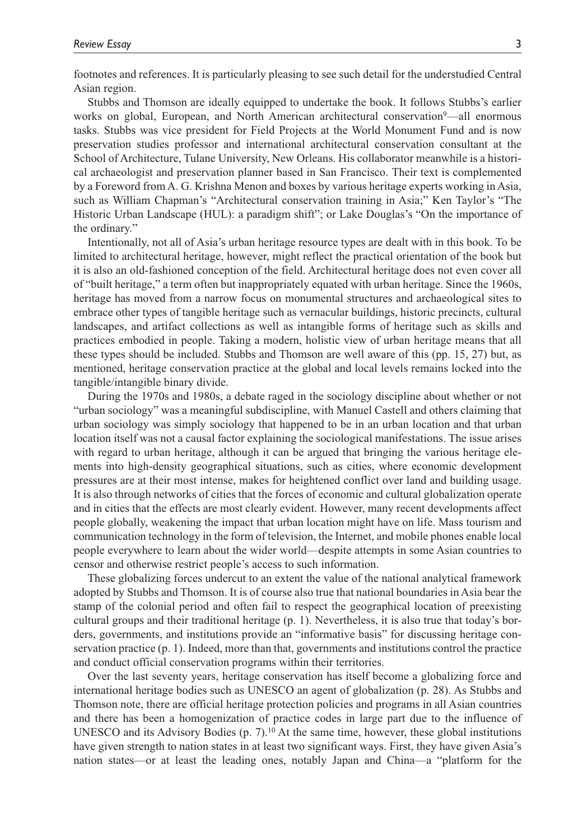footnotes and references. It is particularly pleasing to see such detail for the understudied Central Asian region.

Stubbs and Thomson are ideally equipped to undertake the book. It follows Stubbs's earlier works on global, European, and North American architectural conservation<sup>9</sup>—all enormous tasks. Stubbs was vice president for Field Projects at the World Monument Fund and is now preservation studies professor and international architectural conservation consultant at the School of Architecture, Tulane University, New Orleans. His collaborator meanwhile is a historical archaeologist and preservation planner based in San Francisco. Their text is complemented by a Foreword from A. G. Krishna Menon and boxes by various heritage experts working in Asia, such as William Chapman's "Architectural conservation training in Asia;" Ken Taylor's "The Historic Urban Landscape (HUL): a paradigm shift"; or Lake Douglas's "On the importance of the ordinary."

Intentionally, not all of Asia's urban heritage resource types are dealt with in this book. To be limited to architectural heritage, however, might reflect the practical orientation of the book but it is also an old-fashioned conception of the field. Architectural heritage does not even cover all of "built heritage," a term often but inappropriately equated with urban heritage. Since the 1960s, heritage has moved from a narrow focus on monumental structures and archaeological sites to embrace other types of tangible heritage such as vernacular buildings, historic precincts, cultural landscapes, and artifact collections as well as intangible forms of heritage such as skills and practices embodied in people. Taking a modern, holistic view of urban heritage means that all these types should be included. Stubbs and Thomson are well aware of this (pp. 15, 27) but, as mentioned, heritage conservation practice at the global and local levels remains locked into the tangible/intangible binary divide.

During the 1970s and 1980s, a debate raged in the sociology discipline about whether or not "urban sociology" was a meaningful subdiscipline, with Manuel Castell and others claiming that urban sociology was simply sociology that happened to be in an urban location and that urban location itself was not a causal factor explaining the sociological manifestations. The issue arises with regard to urban heritage, although it can be argued that bringing the various heritage elements into high-density geographical situations, such as cities, where economic development pressures are at their most intense, makes for heightened conflict over land and building usage. It is also through networks of cities that the forces of economic and cultural globalization operate and in cities that the effects are most clearly evident. However, many recent developments affect people globally, weakening the impact that urban location might have on life. Mass tourism and communication technology in the form of television, the Internet, and mobile phones enable local people everywhere to learn about the wider world—despite attempts in some Asian countries to censor and otherwise restrict people's access to such information.

These globalizing forces undercut to an extent the value of the national analytical framework adopted by Stubbs and Thomson. It is of course also true that national boundaries in Asia bear the stamp of the colonial period and often fail to respect the geographical location of preexisting cultural groups and their traditional heritage (p. 1). Nevertheless, it is also true that today's borders, governments, and institutions provide an "informative basis" for discussing heritage conservation practice (p. 1). Indeed, more than that, governments and institutions control the practice and conduct official conservation programs within their territories.

Over the last seventy years, heritage conservation has itself become a globalizing force and international heritage bodies such as UNESCO an agent of globalization (p. 28). As Stubbs and Thomson note, there are official heritage protection policies and programs in all Asian countries and there has been a homogenization of practice codes in large part due to the influence of UNESCO and its Advisory Bodies  $(p, 7)$ .<sup>10</sup> At the same time, however, these global institutions have given strength to nation states in at least two significant ways. First, they have given Asia's nation states—or at least the leading ones, notably Japan and China—a "platform for the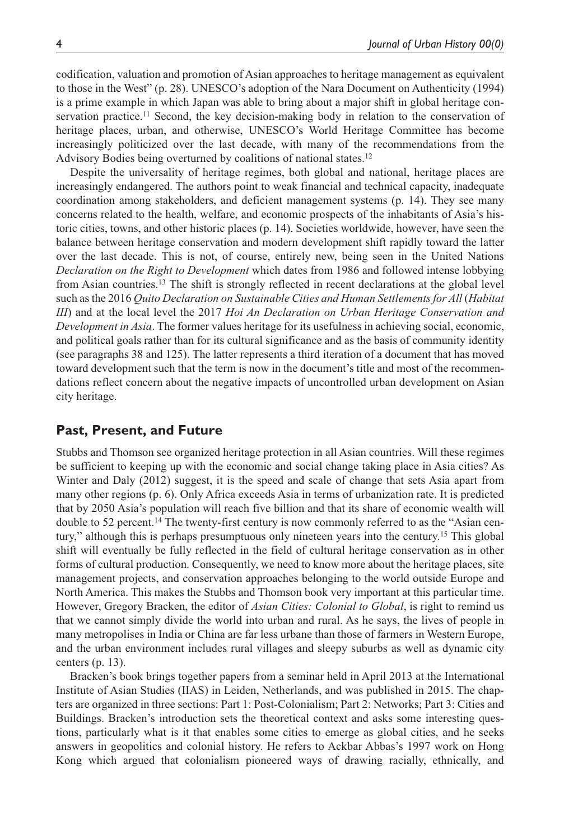codification, valuation and promotion of Asian approaches to heritage management as equivalent to those in the West" (p. 28). UNESCO's adoption of the Nara Document on Authenticity (1994) is a prime example in which Japan was able to bring about a major shift in global heritage conservation practice.11 Second, the key decision-making body in relation to the conservation of heritage places, urban, and otherwise, UNESCO's World Heritage Committee has become increasingly politicized over the last decade, with many of the recommendations from the Advisory Bodies being overturned by coalitions of national states.12

Despite the universality of heritage regimes, both global and national, heritage places are increasingly endangered. The authors point to weak financial and technical capacity, inadequate coordination among stakeholders, and deficient management systems (p. 14). They see many concerns related to the health, welfare, and economic prospects of the inhabitants of Asia's historic cities, towns, and other historic places (p. 14). Societies worldwide, however, have seen the balance between heritage conservation and modern development shift rapidly toward the latter over the last decade. This is not, of course, entirely new, being seen in the United Nations *Declaration on the Right to Development* which dates from 1986 and followed intense lobbying from Asian countries.13 The shift is strongly reflected in recent declarations at the global level such as the 2016 *Quito Declaration on Sustainable Cities and Human Settlements for All* (*Habitat III*) and at the local level the 2017 *Hoi An Declaration on Urban Heritage Conservation and Development in Asia*. The former values heritage for its usefulness in achieving social, economic, and political goals rather than for its cultural significance and as the basis of community identity (see paragraphs 38 and 125). The latter represents a third iteration of a document that has moved toward development such that the term is now in the document's title and most of the recommendations reflect concern about the negative impacts of uncontrolled urban development on Asian city heritage.

## **Past, Present, and Future**

Stubbs and Thomson see organized heritage protection in all Asian countries. Will these regimes be sufficient to keeping up with the economic and social change taking place in Asia cities? As Winter and Daly (2012) suggest, it is the speed and scale of change that sets Asia apart from many other regions (p. 6). Only Africa exceeds Asia in terms of urbanization rate. It is predicted that by 2050 Asia's population will reach five billion and that its share of economic wealth will double to 52 percent.14 The twenty-first century is now commonly referred to as the "Asian century," although this is perhaps presumptuous only nineteen years into the century.15 This global shift will eventually be fully reflected in the field of cultural heritage conservation as in other forms of cultural production. Consequently, we need to know more about the heritage places, site management projects, and conservation approaches belonging to the world outside Europe and North America. This makes the Stubbs and Thomson book very important at this particular time. However, Gregory Bracken, the editor of *Asian Cities: Colonial to Global*, is right to remind us that we cannot simply divide the world into urban and rural. As he says, the lives of people in many metropolises in India or China are far less urbane than those of farmers in Western Europe, and the urban environment includes rural villages and sleepy suburbs as well as dynamic city centers (p. 13).

Bracken's book brings together papers from a seminar held in April 2013 at the International Institute of Asian Studies (IIAS) in Leiden, Netherlands, and was published in 2015. The chapters are organized in three sections: Part 1: Post-Colonialism; Part 2: Networks; Part 3: Cities and Buildings. Bracken's introduction sets the theoretical context and asks some interesting questions, particularly what is it that enables some cities to emerge as global cities, and he seeks answers in geopolitics and colonial history. He refers to Ackbar Abbas's 1997 work on Hong Kong which argued that colonialism pioneered ways of drawing racially, ethnically, and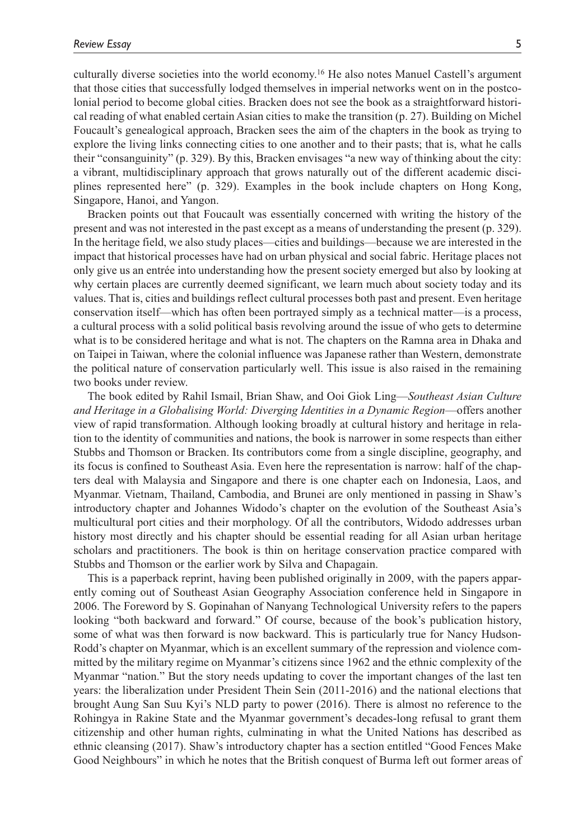culturally diverse societies into the world economy.16 He also notes Manuel Castell's argument that those cities that successfully lodged themselves in imperial networks went on in the postcolonial period to become global cities. Bracken does not see the book as a straightforward historical reading of what enabled certain Asian cities to make the transition (p. 27). Building on Michel Foucault's genealogical approach, Bracken sees the aim of the chapters in the book as trying to explore the living links connecting cities to one another and to their pasts; that is, what he calls their "consanguinity" (p. 329). By this, Bracken envisages "a new way of thinking about the city: a vibrant, multidisciplinary approach that grows naturally out of the different academic disciplines represented here" (p. 329). Examples in the book include chapters on Hong Kong, Singapore, Hanoi, and Yangon.

Bracken points out that Foucault was essentially concerned with writing the history of the present and was not interested in the past except as a means of understanding the present (p. 329). In the heritage field, we also study places—cities and buildings—because we are interested in the impact that historical processes have had on urban physical and social fabric. Heritage places not only give us an entrée into understanding how the present society emerged but also by looking at why certain places are currently deemed significant, we learn much about society today and its values. That is, cities and buildings reflect cultural processes both past and present. Even heritage conservation itself—which has often been portrayed simply as a technical matter—is a process, a cultural process with a solid political basis revolving around the issue of who gets to determine what is to be considered heritage and what is not. The chapters on the Ramna area in Dhaka and on Taipei in Taiwan, where the colonial influence was Japanese rather than Western, demonstrate the political nature of conservation particularly well. This issue is also raised in the remaining two books under review.

The book edited by Rahil Ismail, Brian Shaw, and Ooi Giok Ling—*Southeast Asian Culture and Heritage in a Globalising World: Diverging Identities in a Dynamic Region*—offers another view of rapid transformation. Although looking broadly at cultural history and heritage in relation to the identity of communities and nations, the book is narrower in some respects than either Stubbs and Thomson or Bracken. Its contributors come from a single discipline, geography, and its focus is confined to Southeast Asia. Even here the representation is narrow: half of the chapters deal with Malaysia and Singapore and there is one chapter each on Indonesia, Laos, and Myanmar. Vietnam, Thailand, Cambodia, and Brunei are only mentioned in passing in Shaw's introductory chapter and Johannes Widodo's chapter on the evolution of the Southeast Asia's multicultural port cities and their morphology. Of all the contributors, Widodo addresses urban history most directly and his chapter should be essential reading for all Asian urban heritage scholars and practitioners. The book is thin on heritage conservation practice compared with Stubbs and Thomson or the earlier work by Silva and Chapagain.

This is a paperback reprint, having been published originally in 2009, with the papers apparently coming out of Southeast Asian Geography Association conference held in Singapore in 2006. The Foreword by S. Gopinahan of Nanyang Technological University refers to the papers looking "both backward and forward." Of course, because of the book's publication history, some of what was then forward is now backward. This is particularly true for Nancy Hudson-Rodd's chapter on Myanmar, which is an excellent summary of the repression and violence committed by the military regime on Myanmar's citizens since 1962 and the ethnic complexity of the Myanmar "nation." But the story needs updating to cover the important changes of the last ten years: the liberalization under President Thein Sein (2011-2016) and the national elections that brought Aung San Suu Kyi's NLD party to power (2016). There is almost no reference to the Rohingya in Rakine State and the Myanmar government's decades-long refusal to grant them citizenship and other human rights, culminating in what the United Nations has described as ethnic cleansing (2017). Shaw's introductory chapter has a section entitled "Good Fences Make Good Neighbours" in which he notes that the British conquest of Burma left out former areas of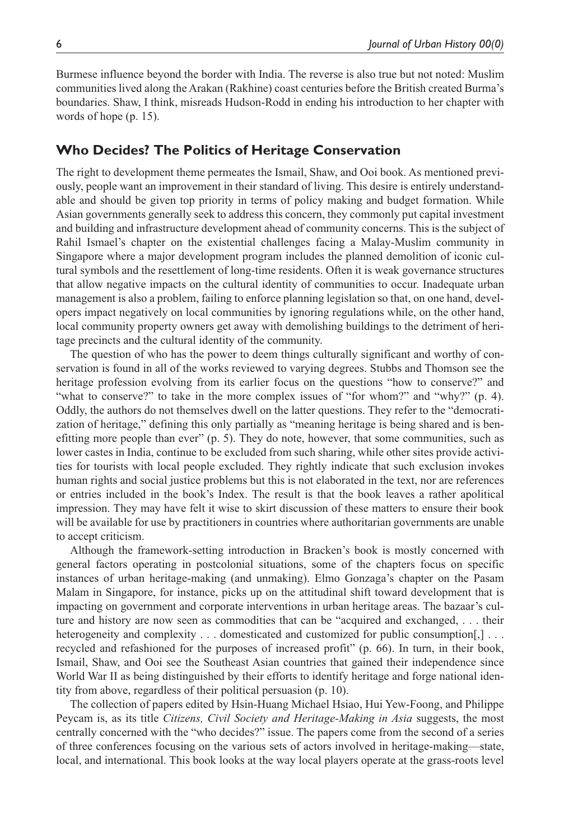Burmese influence beyond the border with India. The reverse is also true but not noted: Muslim communities lived along the Arakan (Rakhine) coast centuries before the British created Burma's boundaries. Shaw, I think, misreads Hudson-Rodd in ending his introduction to her chapter with words of hope (p. 15).

# **Who Decides? The Politics of Heritage Conservation**

The right to development theme permeates the Ismail, Shaw, and Ooi book. As mentioned previously, people want an improvement in their standard of living. This desire is entirely understandable and should be given top priority in terms of policy making and budget formation. While Asian governments generally seek to address this concern, they commonly put capital investment and building and infrastructure development ahead of community concerns. This is the subject of Rahil Ismael's chapter on the existential challenges facing a Malay-Muslim community in Singapore where a major development program includes the planned demolition of iconic cultural symbols and the resettlement of long-time residents. Often it is weak governance structures that allow negative impacts on the cultural identity of communities to occur. Inadequate urban management is also a problem, failing to enforce planning legislation so that, on one hand, developers impact negatively on local communities by ignoring regulations while, on the other hand, local community property owners get away with demolishing buildings to the detriment of heritage precincts and the cultural identity of the community.

The question of who has the power to deem things culturally significant and worthy of conservation is found in all of the works reviewed to varying degrees. Stubbs and Thomson see the heritage profession evolving from its earlier focus on the questions "how to conserve?" and "what to conserve?" to take in the more complex issues of "for whom?" and "why?" (p. 4). Oddly, the authors do not themselves dwell on the latter questions. They refer to the "democratization of heritage," defining this only partially as "meaning heritage is being shared and is benefitting more people than ever" (p. 5). They do note, however, that some communities, such as lower castes in India, continue to be excluded from such sharing, while other sites provide activities for tourists with local people excluded. They rightly indicate that such exclusion invokes human rights and social justice problems but this is not elaborated in the text, nor are references or entries included in the book's Index. The result is that the book leaves a rather apolitical impression. They may have felt it wise to skirt discussion of these matters to ensure their book will be available for use by practitioners in countries where authoritarian governments are unable to accept criticism.

Although the framework-setting introduction in Bracken's book is mostly concerned with general factors operating in postcolonial situations, some of the chapters focus on specific instances of urban heritage-making (and unmaking). Elmo Gonzaga's chapter on the Pasam Malam in Singapore, for instance, picks up on the attitudinal shift toward development that is impacting on government and corporate interventions in urban heritage areas. The bazaar's culture and history are now seen as commodities that can be "acquired and exchanged, . . . their heterogeneity and complexity . . . domesticated and customized for public consumption[,] . . . recycled and refashioned for the purposes of increased profit" (p. 66). In turn, in their book, Ismail, Shaw, and Ooi see the Southeast Asian countries that gained their independence since World War II as being distinguished by their efforts to identify heritage and forge national identity from above, regardless of their political persuasion (p. 10).

The collection of papers edited by Hsin-Huang Michael Hsiao, Hui Yew-Foong, and Philippe Peycam is, as its title *Citizens, Civil Society and Heritage-Making in Asia* suggests, the most centrally concerned with the "who decides?" issue. The papers come from the second of a series of three conferences focusing on the various sets of actors involved in heritage-making—state, local, and international. This book looks at the way local players operate at the grass-roots level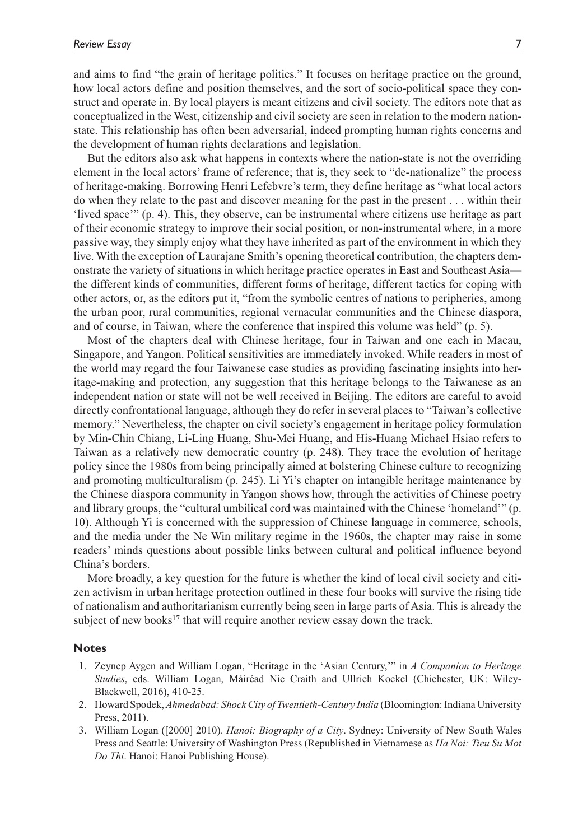and aims to find "the grain of heritage politics." It focuses on heritage practice on the ground, how local actors define and position themselves, and the sort of socio-political space they construct and operate in. By local players is meant citizens and civil society. The editors note that as conceptualized in the West, citizenship and civil society are seen in relation to the modern nationstate. This relationship has often been adversarial, indeed prompting human rights concerns and the development of human rights declarations and legislation.

But the editors also ask what happens in contexts where the nation-state is not the overriding element in the local actors' frame of reference; that is, they seek to "de-nationalize" the process of heritage-making. Borrowing Henri Lefebvre's term, they define heritage as "what local actors do when they relate to the past and discover meaning for the past in the present . . . within their 'lived space'" (p. 4). This, they observe, can be instrumental where citizens use heritage as part of their economic strategy to improve their social position, or non-instrumental where, in a more passive way, they simply enjoy what they have inherited as part of the environment in which they live. With the exception of Laurajane Smith's opening theoretical contribution, the chapters demonstrate the variety of situations in which heritage practice operates in East and Southeast Asia the different kinds of communities, different forms of heritage, different tactics for coping with other actors, or, as the editors put it, "from the symbolic centres of nations to peripheries, among the urban poor, rural communities, regional vernacular communities and the Chinese diaspora, and of course, in Taiwan, where the conference that inspired this volume was held" (p. 5).

Most of the chapters deal with Chinese heritage, four in Taiwan and one each in Macau, Singapore, and Yangon. Political sensitivities are immediately invoked. While readers in most of the world may regard the four Taiwanese case studies as providing fascinating insights into heritage-making and protection, any suggestion that this heritage belongs to the Taiwanese as an independent nation or state will not be well received in Beijing. The editors are careful to avoid directly confrontational language, although they do refer in several places to "Taiwan's collective memory." Nevertheless, the chapter on civil society's engagement in heritage policy formulation by Min-Chin Chiang, Li-Ling Huang, Shu-Mei Huang, and His-Huang Michael Hsiao refers to Taiwan as a relatively new democratic country (p. 248). They trace the evolution of heritage policy since the 1980s from being principally aimed at bolstering Chinese culture to recognizing and promoting multiculturalism (p. 245). Li Yi's chapter on intangible heritage maintenance by the Chinese diaspora community in Yangon shows how, through the activities of Chinese poetry and library groups, the "cultural umbilical cord was maintained with the Chinese 'homeland'" (p. 10). Although Yi is concerned with the suppression of Chinese language in commerce, schools, and the media under the Ne Win military regime in the 1960s, the chapter may raise in some readers' minds questions about possible links between cultural and political influence beyond China's borders.

More broadly, a key question for the future is whether the kind of local civil society and citizen activism in urban heritage protection outlined in these four books will survive the rising tide of nationalism and authoritarianism currently being seen in large parts of Asia. This is already the subject of new books<sup>17</sup> that will require another review essay down the track.

#### **Notes**

- 1. Zeynep Aygen and William Logan, "Heritage in the 'Asian Century,'" in *A Companion to Heritage Studies*, eds. William Logan, Máiréad Nic Craith and Ullrich Kockel (Chichester, UK: Wiley-Blackwell, 2016), 410-25.
- 2. Howard Spodek, *Ahmedabad: Shock City of Twentieth-Century India* (Bloomington: Indiana University Press, 2011).
- 3. William Logan ([2000] 2010). *Hanoi: Biography of a City*. Sydney: University of New South Wales Press and Seattle: University of Washington Press (Republished in Vietnamese as *Ha Noi: Tieu Su Mot Do Thi*. Hanoi: Hanoi Publishing House).